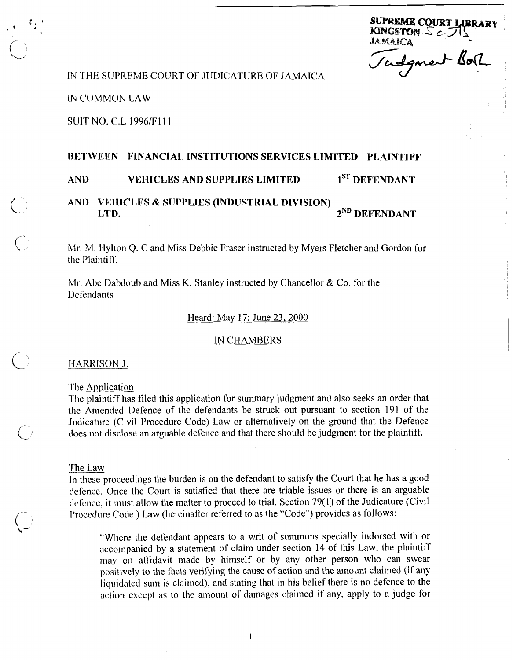SUPREME COURT LIBRAR KINGSTON  $\leq$   $\subset$   $\Box$ JAMAICA

Vadgment Borh

# IN THE SUPREME COURT OF JUDICATURE OF JAMAICA

**IN COMMON LAW** 

# **SUIT NO. C.L 1996/F111**

# BETWEEN FINANCIAL INSTITUTIONS SERVICES LIMITED PLAINTIFF

#### 1<sup>ST</sup> DEFENDANT **AND VEHICLES AND SUPPLIES LIMITED**

#### **VEHICLES & SUPPLIES (INDUSTRIAL DIVISION)** AND. 2<sup>ND</sup> DEFENDANT LTD.

Mr. M. Hylton Q. C and Miss Debbie Fraser instructed by Myers Fletcher and Gordon for the Plaintiff.

Mr. Abe Dabdoub and Miss K. Stanley instructed by Chancellor & Co. for the Defendants

#### Heard: May 17; June 23, 2000

#### **IN CHAMBERS**

### HARRISON J.

The Application

The plaintiff has filed this application for summary judgment and also seeks an order that the Amended Defence of the defendants be struck out pursuant to section 191 of the Judicature (Civil Procedure Code) Law or alternatively on the ground that the Defence does not disclose an arguable defence and that there should be judgment for the plaintiff.

### The Law

In these proceedings the burden is on the defendant to satisfy the Court that he has a good defence. Once the Court is satisfied that there are triable issues or there is an arguable defence, it must allow the matter to proceed to trial. Section 79(1) of the Judicature (Civil Procedure Code) Law (hereinafter referred to as the "Code") provides as follows:

 $\mathbf{1}$ 

"Where the defendant appears to a writ of summons specially indorsed with or accompanied by a statement of claim under section 14 of this Law, the plaintiff may on affidavit made by himself or by any other person who can swear positively to the facts verifying the cause of action and the amount claimed (if any liquidated sum is claimed), and stating that in his belief there is no defence to the action except as to the amount of damages claimed if any, apply to a judge for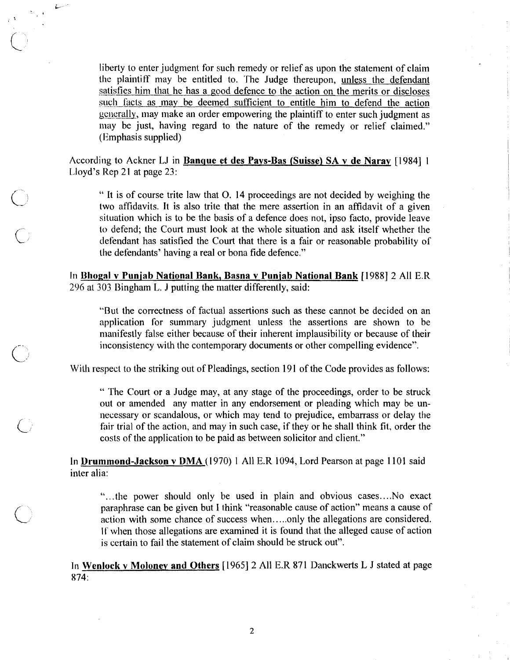liberty to enter judgment for such remedy or relief as upon the statement of claim<br>the plaintiff may be entitled to. The Judge thereupon, <u>unless the defendant</u><br>satisfies him that he has a good defence to the action on the the plaintiff may be entitled to. The Judge thereupon, unless the defendant such facts as may be deemed sufficient to entitle him to defend the action generally, may make an order empowering the plaintiff to enter such judgment as may be just, having regard to the nature of the remedy or relief claimed." (Emphasis supplied)

According to Ackner LJ in **Banque et des Pays-Bas (Suisse) SA v de Naray** [1984] 1 Lloyd's Rep 21 at page  $23$ :

 $\overline{\mathcal{L}}$ 

" It is of course trite law that 0. 14 proceedings are not decided by weighing the two affidavits. It is also trite that the mere assertion in an affidavit of a given situation which is to be the basis of a defence does not, ipso facto, provide leave to defend; the Court must look at the whole situation and ask itself whether the defendant has satisfied the Court that there is a fair or reasonable probability of the defendants' having a real or bona fide defence."

In **Bhogal** v **Puniab National Bank, Basna v Puniab National Bank** [I9881 2 All E.R 296 at 303 Bingham L. J putting the matter differently, said:

"But the correctness of factual assertions such as these cannot be decided on an application for summary judgment unless the assertions are shown to be manifestly false either becausc of their inherent implausibility or because of their inconsistency with the contemporary documents or other compelling evidence".

With respect to the striking out of Pleadings, section 191 of the Code provides as follows:

" 'The Court or a Judge may, at any stage of the proceedings, order to be struck out or amended any matter in any endorsement or pleading which may be unnecessary or scandalous, or which may tend to prejudice, embarrass or delay the fair trial of the action, and may in such case, if they or he shall think fit, order the costs of the application to be paid as between solicitor and client."

In **Drummond-Jackson v DMA** (1970) 1 All E.R 1094, Lord Pearson at page 1101 said inter alia:

"...the power should only be used in plain and obvious cases.. ..No exact paraphrase can be given but I **1** hink "reasonable cause of action" means a cause of action with some chance of success when.. ... only the allegations are considered. If when those allegations are examined it is found that the alleged cause of action is certain to fail the statement of claim should be struck out".

**In Wenluck v Molonev and Others** [I9651 2 All E.R 871 Danckwerts L J stated at page 874: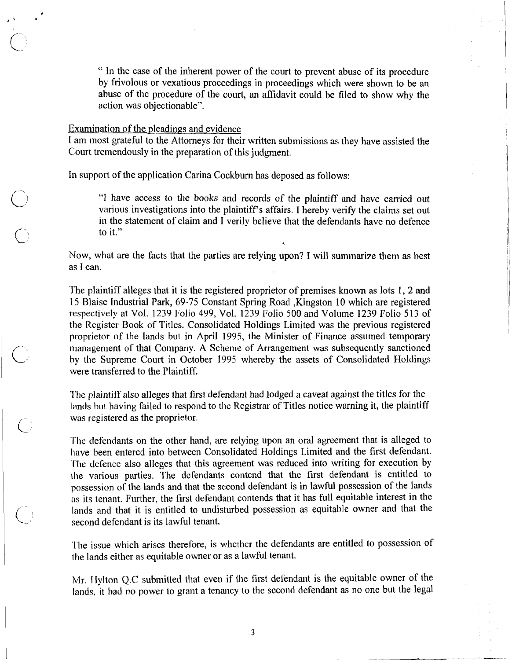" In the case of the inherent power of the court to prevent abuse of its procedure by frivolous or vexatious proceedings in proceedings which were shown to be an abuse of the procedure of the court, an affidavit could be filed to show why the action was objectionable".

### Examination of the pleadings and evidence

I am most grateful to the Attorneys for their written submissions as they have assisted the Court tremendously in the preparation of this judgment.

In support of the application Carina Cockburn has deposed as follows:

"I have access to the books and records of the plaintiff and have carried out various investigations into the plaintiff's affairs. I hereby verify the claims set out in the statement of claim and I verily believe that the defendants have no defence to it."

\*

Now, what are the facts that the parties are relying upon? I will summarize them as best as I can.

'The plaintiff alleges that it is the registered proprietor of premises known as lots 1, 2 and 15 Blaise Industrial Park, 69-75 Constant Spring Road , Kingston 10 which are registered respectively at Vol. 1239 Folio 499, Val. 1239 Folio 500 and Volume 1239 Folio 513 of the Register Book of Titles. Consolidated Holdings Limited was the previous registered proprietor of the lands but in April 1995, the Minister of Finance assumed temporary proprietor of the lands but in April 1995, the Minister of Finance assumed temporary<br>management of that Company. A Scheme of Arrangement was subsequently sanctioned<br>by the Supreme Court in October 1995 whereby the assets o were transferred to the Plaintiff.

> The plaintiff also alleges that first defendant had lodged a caveat against the titles for the lands but having failed to respond to the Registrar of Titles notice warning it, the plaintiff was registered as the proprietor.

The defendants on the other hand, are relying upon an oral agreement that is alleged to have been entered into between Consolidated Holdings Limited and the first defendant. 'I'he defence also alleges that this agreement was reduced into writing for execution by the various parties. The defendants contend that the first defendant is entitled to possession of the lands and that the second defendant is in lawful possession of the lands as its tenant. Further, the first defendant contends that it has full equitable interest in the lands and that it is entitled to undisturbed possession as equitable owner and that the second defendant is its lawful tenant.

The issue which arises therefore, is whether the defendants are entitled to possession of the lands either as equitable owner or as a lawful tenant.

Mr. Hylton Q.C submitted that even if the first defendant is the equitable owner of the lands, it had no power to grant a tenancy to the second defendant as no one but the legal

 $\overline{\mathbf{3}}$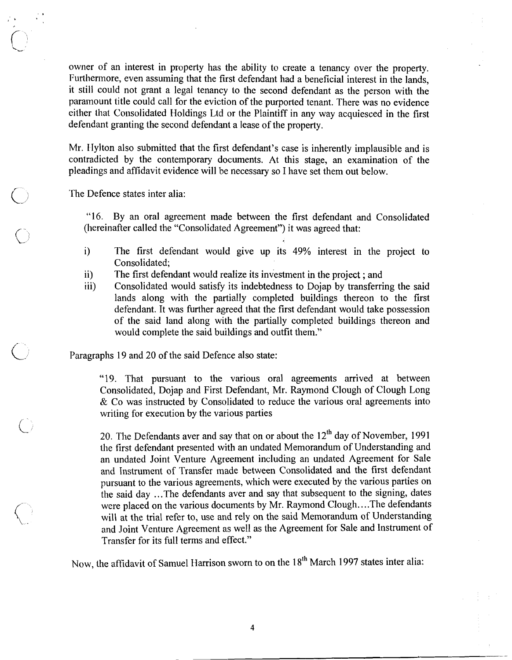owner of an interest in property has the ability to create a tenancy over the property. Furthermore, even assuming that the first defendant had a beneficial interest in the lands, it still could not grant a legal tenancy to the second defendant as the person with the paramount title could call for the eviction of the purported tenant. There was no evidence either that Consolidated Holdings Ltd or the Plaintiff in any way acquiesced in the first defendant granting the second defendant a lease of the property.

Mr. IIylton also submitted that the first defendant's case is inherently implausible and is contradicted by the contemporary documents. At this stage, an examination of the pleadings and affidavit evidence will be necessary so I have set them out below.

The Defence states inter alia:

L-

 $\bigcirc$ 

"16. By an oral agreement made between the first defendant and Consolidated (hereinafter called the "Consolidated Agreement") it was agreed that:

- i) The first defendant would give up its 49% interest in the project to Consolidated;
- ii) The first defendant would realize its investment in the project; and<br>iii) Consolidated would satisfy its indebtedness to Doian by transferri
- Consolidated would satisfy its indebtedness to Dojap by transferring the said lands along with the partially completed buildings thereon to the first defendant. It was further agreed that the first defendant would take possession of the said land along with the partially completed buildings thereon and would complete the said buildings and outfit them."

Paragraphs 19 and 20 of the said Defence also state:

"19. That pursuant to the various oral agreements arrived at between Consolidated, Dojap and First Defendant, Mr. Raymond Clough of Clough Long & Co was instructed by Consolidated to reduce the various oral agreements into writing for execution by the various parties

20. The Defendants aver and say that on or about the  $12<sup>th</sup>$  day of November, 1991 the first defendant presented with an undated Memorandum of Understanding and an undated Joint Venture Agreement including an undated Agreement for Sale and Instrument of 'Transfer made between Consolidated and the first defendant pursuant to the various agreements, which were executed by the various parties on the said day ... The defendants aver and say that subsequent to the signing, dates were placed on the various documents by Mr. Raymond Clough.. ..The defendants will at the trial refer to, use and rely on the said Memorandum of Understanding and Joint Venture Agreement as well as the Agreement for Sale and Instrument of Transfer for its full terms and effect."

Now, the affidavit of Samuel Harrison sworn to on the 18<sup>th</sup> March 1997 states inter alia:

 $\overline{\mathbf{4}}$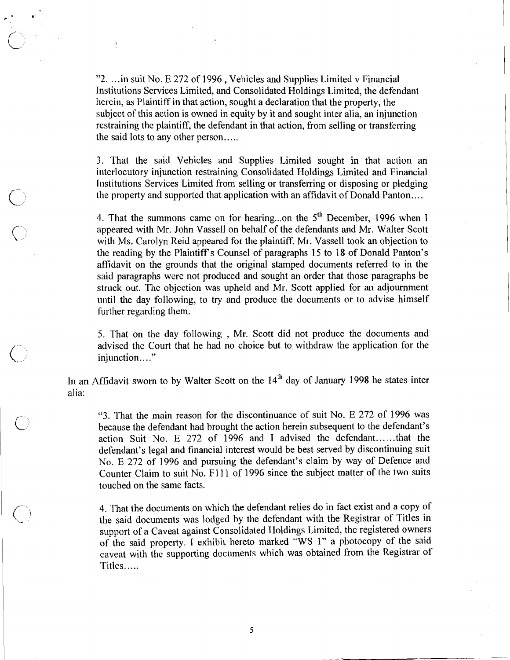"2. . ..in suit No. E 272 of 1996 , Vehicles and Supplies Limited v Financial Institutions Services Limited, and Consolidated Holdings Limited, the defendant herein, as Plaintiff in that action, sought a declaration that the property, the subjcct of his action is owned in equity by it and sought inter alia, an injunction rcstraining the plaintiff, the defendant in that action, from selling or transferring the said lots to any other person.....

 $\frac{1}{2} \frac{g^2}{\tau_1}$ 

 $\frac{1}{2}$ 

3. That the said Vehicles and Supplies Limited sought in that action an interlocutory injunction restraining Consolidated Holdings Limited and Financial Institutions Services Limited from selling or transferring or disposing or pledging the property and supported that application with an affidavit of Donald Panton.. . .

4. That the summons came on for hearing...on the 5<sup>th</sup> December, 1996 when I appeared with Mr. John Vassell on behalf of the defendants and Mr. Walter Scott with Ms. Carolyn Reid appeared for the plaintiff. Mr. Vassell took an objection to the reading by the Plaintiffs Counsel of paragraphs 15 to 18 of Donald Panton's affidavit on the grounds that the original stamped documents referred to in the said paragraphs were not produced and sought an order that those paragraphs be struck out. The objection was upheld and Mr. Scott applied for an adjournment until the day following, to try and produce the documents or to advise himself further regarding them.

5. That on the day following; , Mr. Scott did not produce the documents and advised the Court that he had no choice but to withdraw the application for the injunction...."

In an Affidavit sworn to by Walter Scott on the  $14<sup>th</sup>$  day of January 1998 he states inter alia:

**"3.** 'l'hat the main reason for ithe discontinuance of suit No. E 272 of 1996 was because the defendant had brought the action herein subsequent to the defendant's action Suit No. E 272 of 1996 and I advised the defendant......that the defendant's legal and financial interest would be best served by discontinuing suit No. E 272 of 1996 and pursuing the defendant's claim by way of Defence and Counter Claim to suit No. F111 of 1996 since the subject matter of the two suits touched on the same facts.

4. That the documents on which the defendant relies do in fact exist and a copy of the said documents was lodged by the defendant with the Registrar of Titles in support of a Caveat against Consolidated Holdings Limited, the registered owners of the said property. I exhibit hereto marked "WS 1" a photocopy of the said caveat with the supporting documents which was obtained from the Registrar of Titles.. ...

5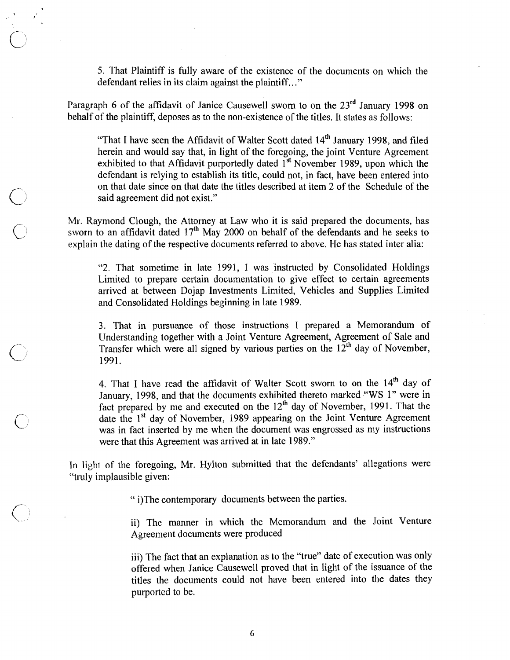5. That Plaintiff is fully aware of the existence of the documents on which the defendant relies in its claim against the plaintiff.. ."

Paragraph 6 of the affidavit of Janice Causewell sworn to on the 23<sup>rd</sup> January 1998 on behalf of the plaintiff, deposes as to the non-existence of the titles. It states as follows:

"That I have seen the Affidavit of Walter Scott dated  $14<sup>th</sup>$  January 1998, and filed herein and would say that, in light of the foregoing, the joint Venture Agreement exhibited to that Affidavit purportedly dated  $1<sup>st</sup>$  November 1989, upon which the defendant is relying to establish its title, could not, in fact, have been entered into on that date since on that date the titles described at item 2 of the Schedule of the said agreement did not exist."

Mr. Raymond Clough, the Attorney at Law who it is said prepared the documents, has sworn to an affidavit dated  $17<sup>th</sup>$  May 2000 on behalf of the defendants and he seeks to explain the dating of the respective documents referred to above. He has stated inter alia:

"2. That sometime in late 1991, I was instructed by Consolidated Holdings Limited to prepare certain documentation to give effect to certain agreements arrived at between Dojap Investments Limited, Vehicles and Supplies Limited and Consolidated Holdings beginning in late 1989.

3. That in pursuance of those instructions I prepared a Memorandum of Understanding together with a Joint Venture Agreement, Agreement of Sale and Transfer which were all signed by various parties on the  $12^{th}$  day of November, 1991.

4. That I have read the affidavit of Walter Scott sworn to on the  $14<sup>th</sup>$  day of January, 1998, and that the documents exhibited thereto marked **YWS** 1" were in fact prepared by me and executed on the  $12<sup>th</sup>$  day of November, 1991. That the date the  $1<sup>st</sup>$  day of November, 1989 appearing on the Joint Venture Agreement was in fact inserted by me when the document was engrossed as my instructions were that this Agreement was arrived at in late 1989."

In light of the foregoing, Mr. Hylton submitted that the defendants' allegations were "truly implausible given:

" i)The contemporary documents between the parties.

ii) The manner in which the Memorandum and the Joint Venture Agreement documents were produced

iii) The fact that an explanation as to the "true" date of execution was only offered when Janice Causewell proved that in light of the issuance of the titles the documents could not have been entered into the dates they purported to be.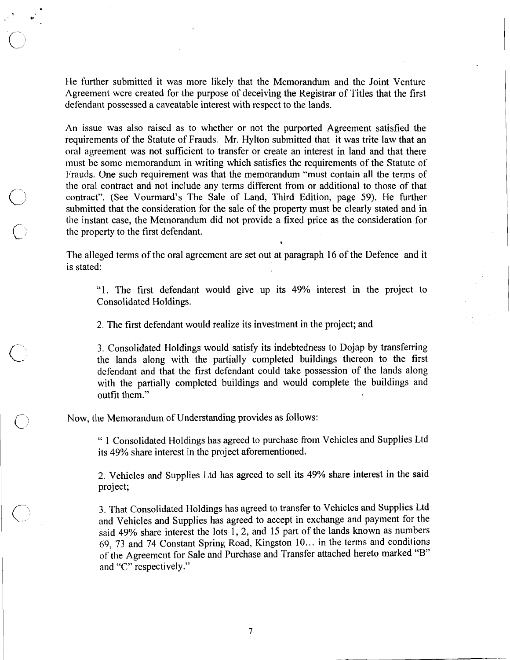IIe further submitted it was more likely that the Memorandum and the Joint Venture Agreement were created for the purpose of deceiving the Registrar of Titles that the first defendant possessed a caveatable interest with respect to the lands.

An issue was also raised as to whether or not the purported Agreement satisfied the requirements of the Statute of Frauds, Mr. Hylton submitted that it was trite law that an oral agreement was not sufficient to transfer or create an interest in land and that there must be some memorandum in writing which satisfies the requirements of the Statute of Frauds. One such requirement was that the memorandum "must contain all the terms of the oral contract and not include any terms different from or additional to those of that contract". (See Vourmard's The Sale of Land, Third Edition, page 59). He further submitted that the consideration for the sale of the property must be clearly stated and in the instant case, the Memorandum did not provide a fixed price as the consideration for the property to the first defendant.

The alleged terms of the oral agreement are set out at paragraph 16 of the Defence and it is stated:

"I. The first defendant would give up its 49% interest in the project to Consolidated Holdings.

2. The first defendant would realize its investment in the project; and

3. Consolidated Holdings would satisfy its indebtedness to Dojap by transferring the lands along with the partially completed buildings thereon to the first defendant and that the first defendant could take possession of the lands along with the partially completed buildings and would complete the buildings and outfit them."

Now, the Memorandum of Understanding provides as follows:

" 1 Consolidated Holdings has agreed to purchase from Vehicles and Supplies Ltd its 49% share interest in the project aforementioned.

2. Vehicles and Supplies Ltd has agreed to sell its 49% share interest in the said project;

3. That Consolidated Holdings has agreed to transfer to Vehicles and Supplies Ltd and Vehicles and Supplies has agreed to accept in exchange and payment for the said 49% share interest the lots 1, 2, and 15 part of the lands known as numbers 69, 73 and 74 Constant Spring; Road, Kingston 10.. . in the terms and conditions of the Agreement for Sale and Purchase and Transfer attached hereto marked "B" and "C" respectively."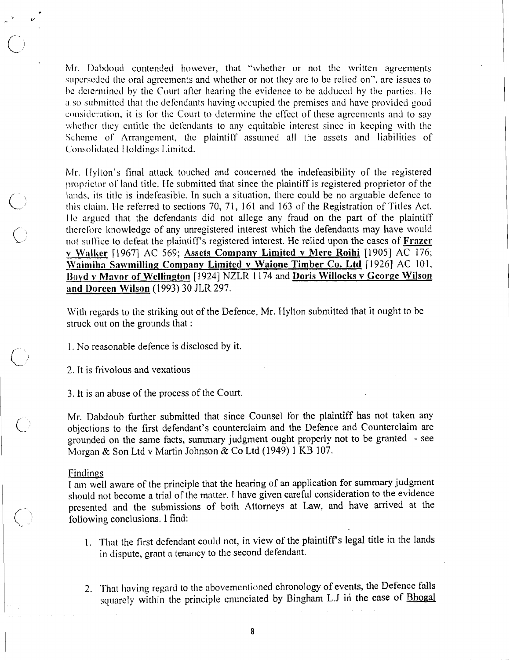Mr. Dabdoud contended however, that "whether or not the written agreements" superseded the oral agreements and whether or not they are to be relied on", are issues to be determined by the Court after hearing the evidence to be adduced by the parties. He also submitted that the defendants having occupied the premises and have provided good consideration, it is for the Court to determine the effect of these agreements and to say whether they entitle the defendants to any equitable interest since in keeping with the Scheme of Arrangement, the plaintiff assumed all the assets and liabilities of Consolidated Holdings Limited.

Mr. Hylton's final attack touched and concerned the indefeasibility of the registered proprietor of land title. He submitted that since the plaintiff is registered proprietor of the lands, its title is indefeasible. In such a situation, there could be no arguable defence to this claim. He referred to sections 70, 71, 161 and 163 of the Registration of Titles Act. He argued that the defendants did not allege any fraud on the part of the plaintiff therefore knowledge of any unregistered interest which the defendants may have would not suffice to defeat the plaintiff's registered interest. He relied upon the cases of Frazer v Walker [1967] AC 569; Assets Company Limited v Mere Roihi [1905] AC 176; Waimiha Sawmilling Company Limited v Waione Timber Co. Ltd [1926] AC 101, Boyd v Mavor of Wellington [1924] NZLR 1174 and Doris Willocks v George Wilson and Doreen Wilson (1993) 30 JLR 297.

With regards to the striking out of the Defence, Mr. Hylton submitted that it ought to be struck out on the grounds that :

- 1. No reasonable defence is disclosed by it.
- 2. It is frivolous and vexatious

3. It is an abuse of the process of the Court.

Mr. Dabdoub further submitted that since Counsel for the plaintiff has not taken any objections to the first defendant's counterclaim and the Defence and Counterclaim are grounded on the same facts, summary judgment ought properly not to be granted - see Morgan & Son Ltd v Martin Johnson & Co Ltd (1949) 1 KB 107.

#### Findings

I am well aware of the principle that the hearing of an application for summary judgment should not become a trial of the matter. I have given careful consideration to the evidence presented and the submissions of both Attorneys at Law, and have arrived at the following conclusions. I find:

- 1. That the first defendant could not, in view of the plaintiff's legal title in the lands in dispute, grant a tenancy to the second defendant.
- 2. That having regard to the abovementioned chronology of events, the Defence falls squarely within the principle enunciated by Bingham L.J in the case of Bhogal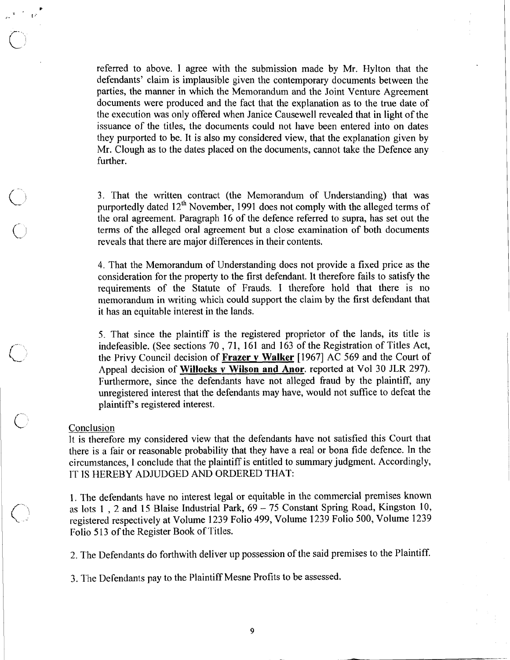referred to above. I agree with the submission made by Mr. Hylton that the defendants' claim is implausible given the contemporary documents between the parties, the manner in which the Memorandum and the Joint Venture Agreement documents were produced and the fact that the explanation as to the true date of the execution was only offered when Janice Causewell revealed that in light of the issuance of the titles, the documents could not have been entered into on dates they purported to be. It is also my considered view, that the explanation given by Mr. Clough as to the dates placed on the documents, cannot take the Defence any further.

**3.** That the written contract (the Memorandum of Understanding) that was purportedly dated  $12<sup>th</sup>$  November, 1991 does not comply with the alleged terms of the oral agreement. Paragraph 16 of the defence referred to supra, has set out the terms of the alleged oral agreement but a close examination of both documents reveals that there are major differences in their contents.

4. That the Memorandum of Understanding does not provide a fixed price as the consideration for the property to the first defendant. It therefore fails to satisfy the requirements of the Statute of Frauds. I therefore hold that there is no memorandum in writing which could support the claiin by the first defendant that it has an equitable interest in the lands.

5. That since the plaintiff is the registered proprietor of the lands, its title is indefeasible. (See sections 70, 71, 161 and 163 of the Registration of Titles Act, the Privy Council decision of **Frazer** v **Walker** [I9671 **AC** 569 and the Court of Appeal decision of **Willocks** v **Wilson and Anor.** reported at Vol 30 JLR 297). Furthermore, since the defendants have not alleged fraud by the plaintiff, any unregistered interest that the defendants may have, would not suffice to defeat the plaintiffs registered interest.

## **Conclusion**

It is therefore my considered view that the defendants have not satisfied this Court that there is a fair or reasonable probability that they have a real or bona fide defence. In the circumstances, 1 conclude that the plaintiff is entitled to summary judgment. Accordingly, IT IS HEREBY ADJUDGED AND ORDERED THAT:

1. The defendants have no interest legal or equitable in the commercial premises known as lots 1 , 2 and 15 Blaise Industrial Park, 69 - 75 Constant Spring Road, Kingston 10, registered respectively at Volume 1239 Folio 499, Volume 1239 Folio 500, Volume 1239 Folio 513 of the Register Book of Titles.

2. The Defendants do forthwith deliver up possession of the said premises to the Plaintiff.

3. The Defendants pay to the Plaintiff Mesne Profits to be assessed.